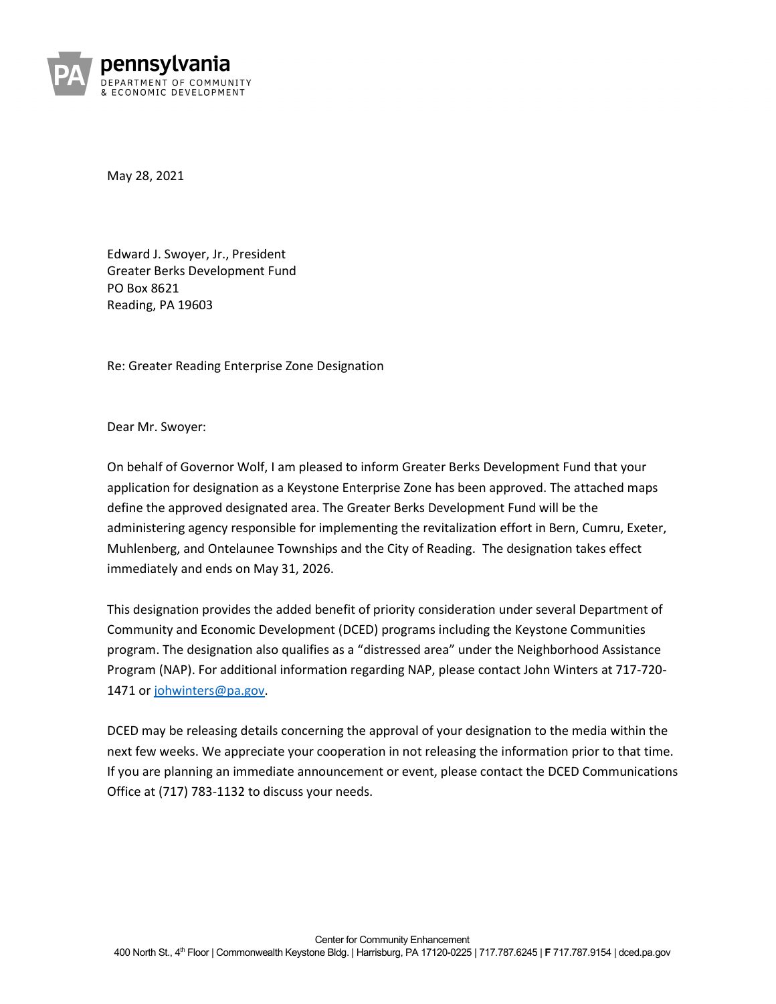

May 28, 2021

Edward J. Swoyer, Jr., President Greater Berks Development Fund PO Box 8621 Reading, PA 19603

Re: Greater Reading Enterprise Zone Designation

Dear Mr. Swoyer:

On behalf of Governor Wolf, I am pleased to inform Greater Berks Development Fund that your application for designation as a Keystone Enterprise Zone has been approved. The attached maps define the approved designated area. The Greater Berks Development Fund will be the administering agency responsible for implementing the revitalization effort in Bern, Cumru, Exeter, Muhlenberg, and Ontelaunee Townships and the City of Reading. The designation takes effect immediately and ends on May 31, 2026.

This designation provides the added benefit of priority consideration under several Department of Community and Economic Development (DCED) programs including the Keystone Communities program. The designation also qualifies as a "distressed area" under the Neighborhood Assistance Program (NAP). For additional information regarding NAP, please contact John Winters at 717-720- 1471 or johwinters@pa.gov.

DCED may be releasing details concerning the approval of your designation to the media within the next few weeks. We appreciate your cooperation in not releasing the information prior to that time. If you are planning an immediate announcement or event, please contact the DCED Communications Office at (717) 783-1132 to discuss your needs.